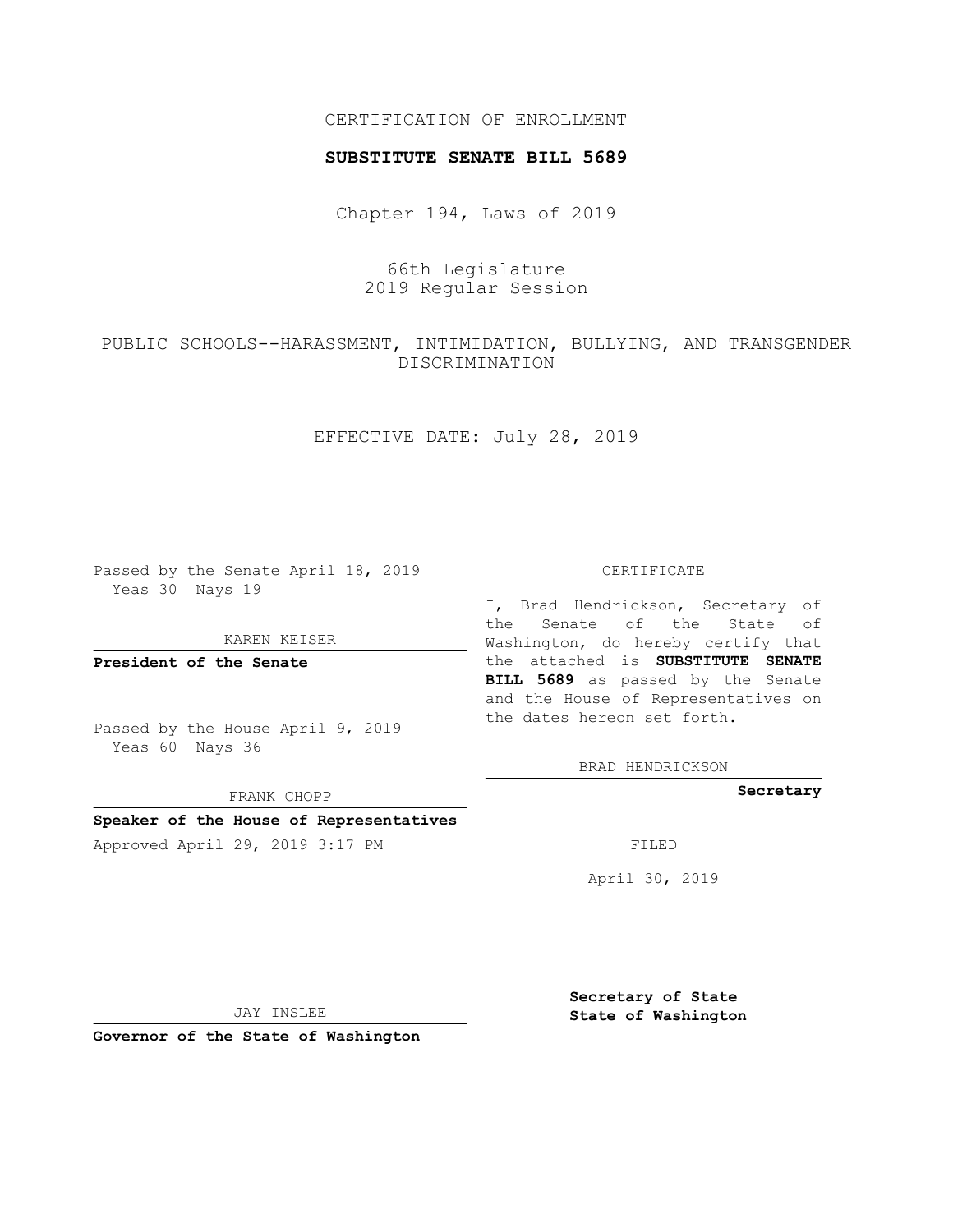### CERTIFICATION OF ENROLLMENT

#### **SUBSTITUTE SENATE BILL 5689**

Chapter 194, Laws of 2019

## 66th Legislature 2019 Regular Session

# PUBLIC SCHOOLS--HARASSMENT, INTIMIDATION, BULLYING, AND TRANSGENDER DISCRIMINATION

EFFECTIVE DATE: July 28, 2019

Passed by the Senate April 18, 2019 Yeas 30 Nays 19

KAREN KEISER

**President of the Senate**

Passed by the House April 9, 2019 Yeas 60 Nays 36

FRANK CHOPP

#### **Speaker of the House of Representatives**

Approved April 29, 2019 3:17 PM FILED

#### CERTIFICATE

I, Brad Hendrickson, Secretary of the Senate of the State of Washington, do hereby certify that the attached is **SUBSTITUTE SENATE BILL 5689** as passed by the Senate and the House of Representatives on the dates hereon set forth.

BRAD HENDRICKSON

**Secretary**

April 30, 2019

JAY INSLEE

**Governor of the State of Washington**

**Secretary of State State of Washington**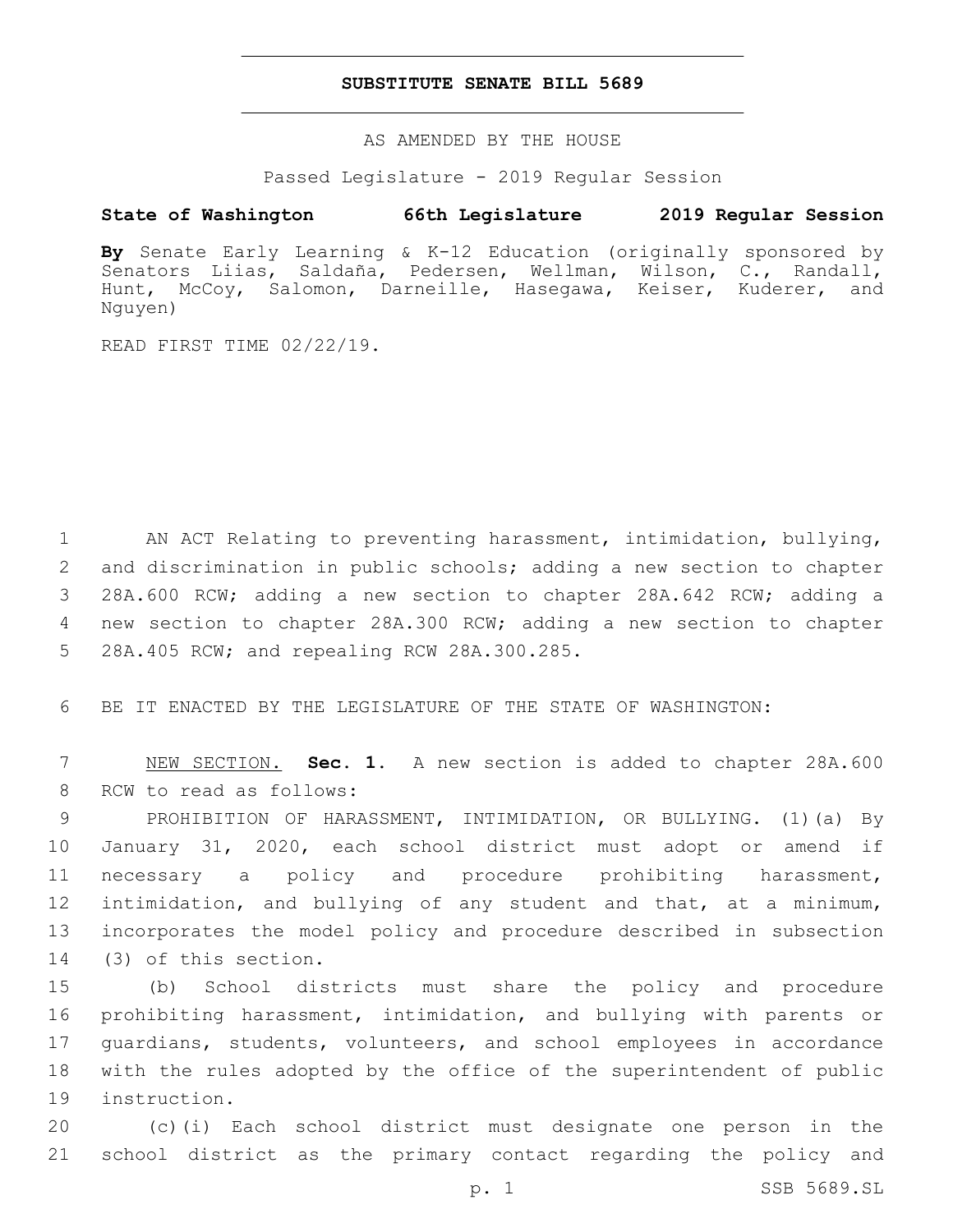#### **SUBSTITUTE SENATE BILL 5689**

AS AMENDED BY THE HOUSE

Passed Legislature - 2019 Regular Session

### **State of Washington 66th Legislature 2019 Regular Session**

**By** Senate Early Learning & K-12 Education (originally sponsored by Senators Liias, Saldaña, Pedersen, Wellman, Wilson, C., Randall, Hunt, McCoy, Salomon, Darneille, Hasegawa, Keiser, Kuderer, and Nguyen)

READ FIRST TIME 02/22/19.

 AN ACT Relating to preventing harassment, intimidation, bullying, and discrimination in public schools; adding a new section to chapter 28A.600 RCW; adding a new section to chapter 28A.642 RCW; adding a new section to chapter 28A.300 RCW; adding a new section to chapter 5 28A.405 RCW; and repealing RCW 28A.300.285.

6 BE IT ENACTED BY THE LEGISLATURE OF THE STATE OF WASHINGTON:

7 NEW SECTION. **Sec. 1.** A new section is added to chapter 28A.600 8 RCW to read as follows:

 PROHIBITION OF HARASSMENT, INTIMIDATION, OR BULLYING. (1)(a) By January 31, 2020, each school district must adopt or amend if necessary a policy and procedure prohibiting harassment, intimidation, and bullying of any student and that, at a minimum, incorporates the model policy and procedure described in subsection 14 (3) of this section.

 (b) School districts must share the policy and procedure prohibiting harassment, intimidation, and bullying with parents or guardians, students, volunteers, and school employees in accordance with the rules adopted by the office of the superintendent of public 19 instruction.

20 (c)(i) Each school district must designate one person in the 21 school district as the primary contact regarding the policy and

p. 1 SSB 5689.SL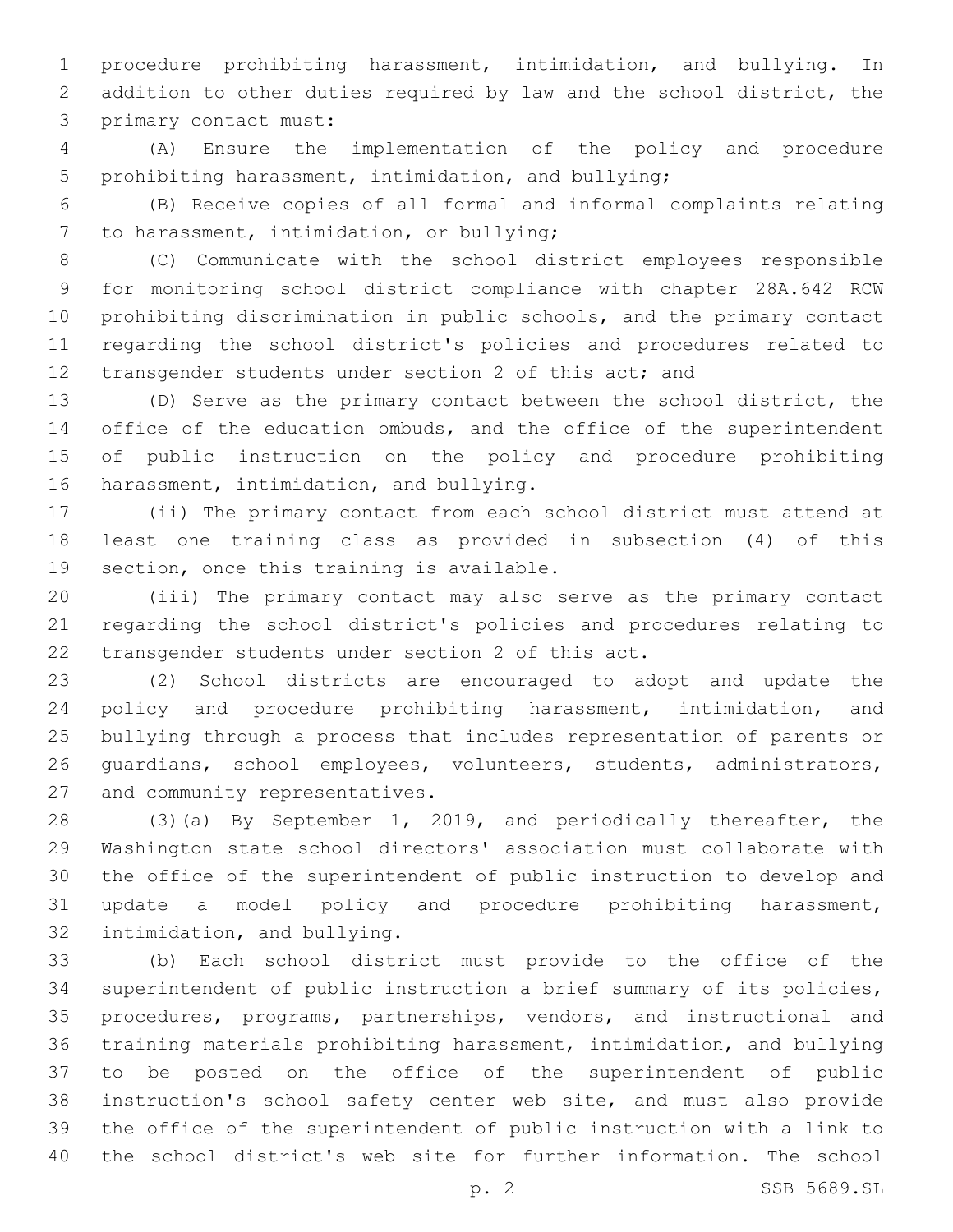procedure prohibiting harassment, intimidation, and bullying. In addition to other duties required by law and the school district, the 3 primary contact must:

 (A) Ensure the implementation of the policy and procedure prohibiting harassment, intimidation, and bullying;

 (B) Receive copies of all formal and informal complaints relating 7 to harassment, intimidation, or bullying;

 (C) Communicate with the school district employees responsible for monitoring school district compliance with chapter 28A.642 RCW prohibiting discrimination in public schools, and the primary contact regarding the school district's policies and procedures related to 12 transgender students under section 2 of this act; and

 (D) Serve as the primary contact between the school district, the 14 office of the education ombuds, and the office of the superintendent of public instruction on the policy and procedure prohibiting 16 harassment, intimidation, and bullying.

 (ii) The primary contact from each school district must attend at least one training class as provided in subsection (4) of this 19 section, once this training is available.

 (iii) The primary contact may also serve as the primary contact regarding the school district's policies and procedures relating to 22 transgender students under section 2 of this act.

 (2) School districts are encouraged to adopt and update the policy and procedure prohibiting harassment, intimidation, and bullying through a process that includes representation of parents or guardians, school employees, volunteers, students, administrators, 27 and community representatives.

 (3)(a) By September 1, 2019, and periodically thereafter, the Washington state school directors' association must collaborate with the office of the superintendent of public instruction to develop and update a model policy and procedure prohibiting harassment, 32 intimidation, and bullying.

 (b) Each school district must provide to the office of the superintendent of public instruction a brief summary of its policies, procedures, programs, partnerships, vendors, and instructional and training materials prohibiting harassment, intimidation, and bullying to be posted on the office of the superintendent of public instruction's school safety center web site, and must also provide the office of the superintendent of public instruction with a link to the school district's web site for further information. The school

p. 2 SSB 5689.SL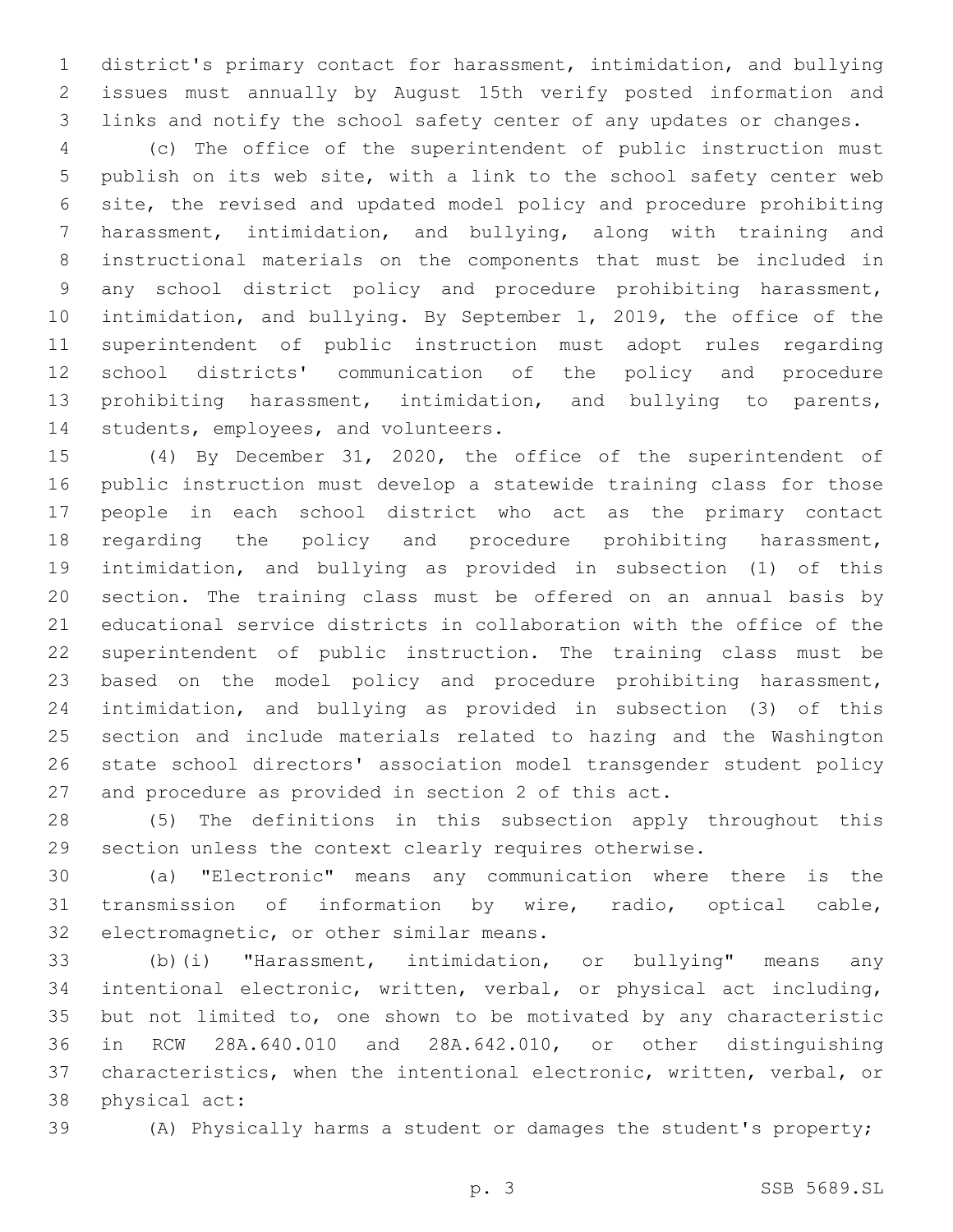district's primary contact for harassment, intimidation, and bullying issues must annually by August 15th verify posted information and links and notify the school safety center of any updates or changes.

 (c) The office of the superintendent of public instruction must publish on its web site, with a link to the school safety center web site, the revised and updated model policy and procedure prohibiting harassment, intimidation, and bullying, along with training and instructional materials on the components that must be included in any school district policy and procedure prohibiting harassment, intimidation, and bullying. By September 1, 2019, the office of the superintendent of public instruction must adopt rules regarding school districts' communication of the policy and procedure prohibiting harassment, intimidation, and bullying to parents, 14 students, employees, and volunteers.

 (4) By December 31, 2020, the office of the superintendent of public instruction must develop a statewide training class for those people in each school district who act as the primary contact regarding the policy and procedure prohibiting harassment, intimidation, and bullying as provided in subsection (1) of this section. The training class must be offered on an annual basis by educational service districts in collaboration with the office of the superintendent of public instruction. The training class must be based on the model policy and procedure prohibiting harassment, intimidation, and bullying as provided in subsection (3) of this section and include materials related to hazing and the Washington state school directors' association model transgender student policy and procedure as provided in section 2 of this act.

 (5) The definitions in this subsection apply throughout this section unless the context clearly requires otherwise.

 (a) "Electronic" means any communication where there is the transmission of information by wire, radio, optical cable, 32 electromagnetic, or other similar means.

 (b)(i) "Harassment, intimidation, or bullying" means any intentional electronic, written, verbal, or physical act including, but not limited to, one shown to be motivated by any characteristic in RCW 28A.640.010 and 28A.642.010, or other distinguishing characteristics, when the intentional electronic, written, verbal, or 38 physical act:

(A) Physically harms a student or damages the student's property;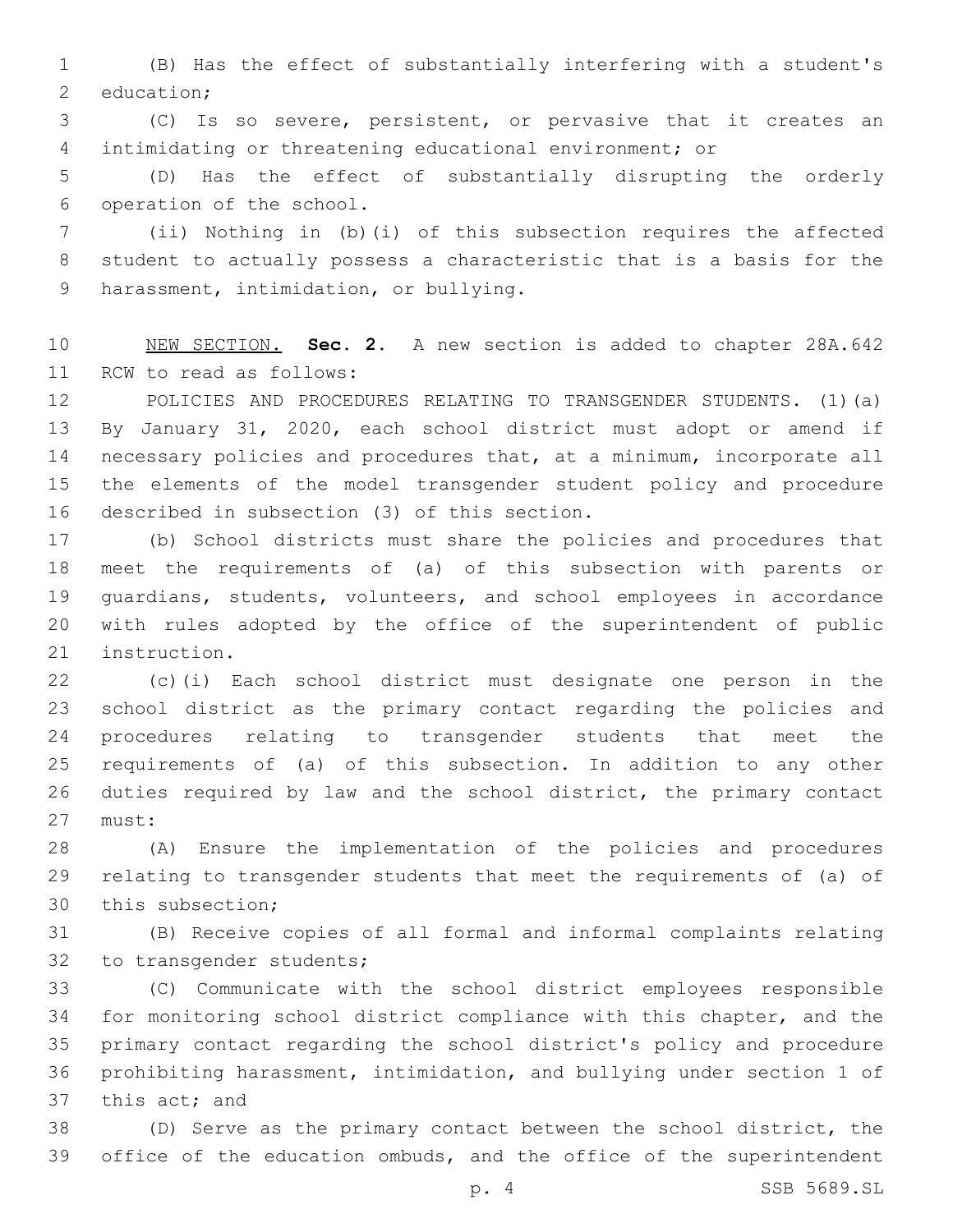(B) Has the effect of substantially interfering with a student's 2 education;

 (C) Is so severe, persistent, or pervasive that it creates an intimidating or threatening educational environment; or

 (D) Has the effect of substantially disrupting the orderly 6 operation of the school.

 (ii) Nothing in (b)(i) of this subsection requires the affected student to actually possess a characteristic that is a basis for the 9 harassment, intimidation, or bullying.

 NEW SECTION. **Sec. 2.** A new section is added to chapter 28A.642 11 RCW to read as follows:

 POLICIES AND PROCEDURES RELATING TO TRANSGENDER STUDENTS. (1)(a) By January 31, 2020, each school district must adopt or amend if necessary policies and procedures that, at a minimum, incorporate all the elements of the model transgender student policy and procedure 16 described in subsection (3) of this section.

 (b) School districts must share the policies and procedures that meet the requirements of (a) of this subsection with parents or guardians, students, volunteers, and school employees in accordance with rules adopted by the office of the superintendent of public 21 instruction.

 (c)(i) Each school district must designate one person in the school district as the primary contact regarding the policies and procedures relating to transgender students that meet the requirements of (a) of this subsection. In addition to any other duties required by law and the school district, the primary contact 27 must:

 (A) Ensure the implementation of the policies and procedures relating to transgender students that meet the requirements of (a) of 30 this subsection;

 (B) Receive copies of all formal and informal complaints relating 32 to transgender students;

 (C) Communicate with the school district employees responsible for monitoring school district compliance with this chapter, and the primary contact regarding the school district's policy and procedure prohibiting harassment, intimidation, and bullying under section 1 of 37 this act; and

 (D) Serve as the primary contact between the school district, the office of the education ombuds, and the office of the superintendent

p. 4 SSB 5689.SL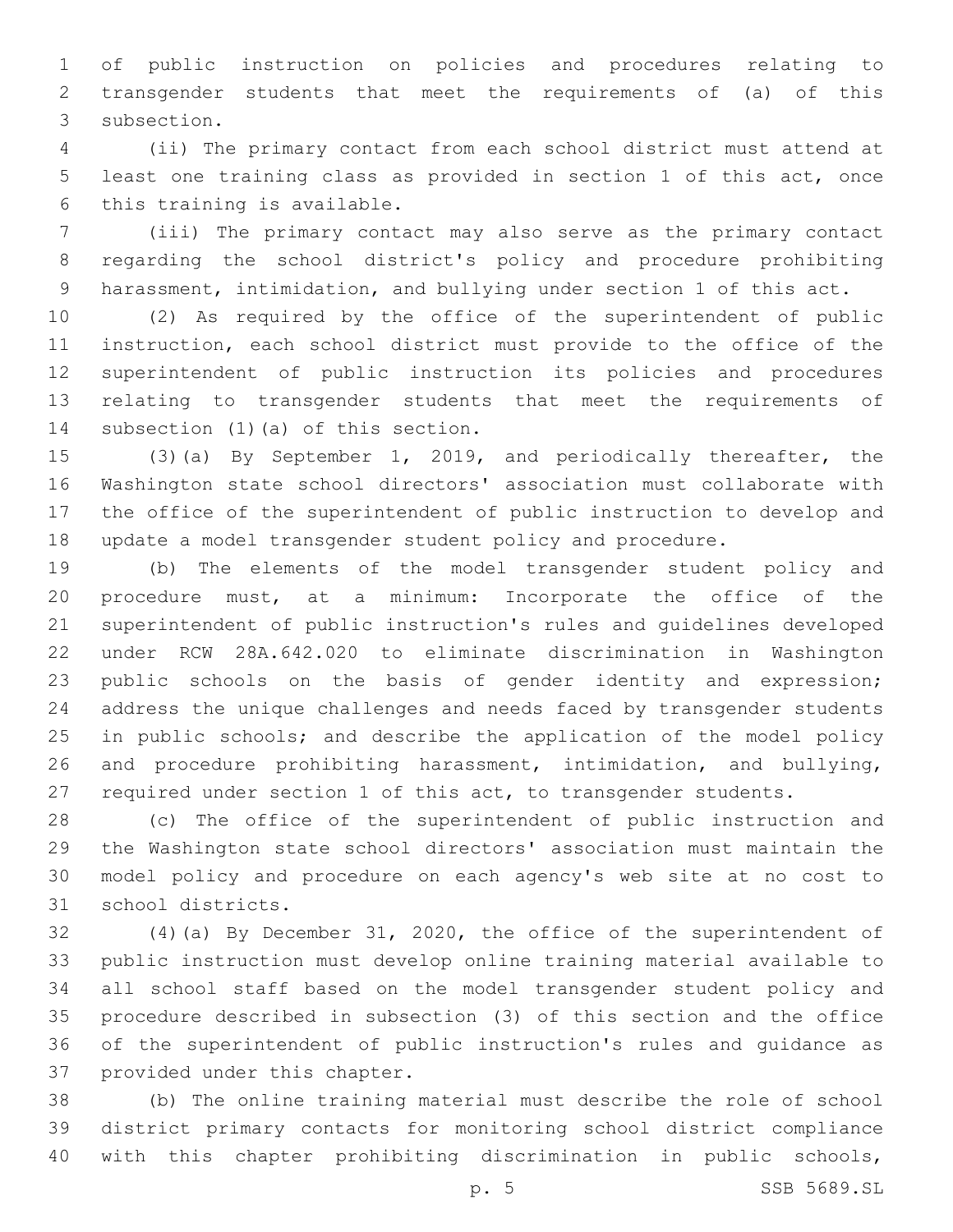of public instruction on policies and procedures relating to transgender students that meet the requirements of (a) of this 3 subsection.

 (ii) The primary contact from each school district must attend at least one training class as provided in section 1 of this act, once 6 this training is available.

 (iii) The primary contact may also serve as the primary contact regarding the school district's policy and procedure prohibiting harassment, intimidation, and bullying under section 1 of this act.

 (2) As required by the office of the superintendent of public instruction, each school district must provide to the office of the superintendent of public instruction its policies and procedures relating to transgender students that meet the requirements of 14 subsection (1) (a) of this section.

 (3)(a) By September 1, 2019, and periodically thereafter, the Washington state school directors' association must collaborate with the office of the superintendent of public instruction to develop and update a model transgender student policy and procedure.

 (b) The elements of the model transgender student policy and procedure must, at a minimum: Incorporate the office of the superintendent of public instruction's rules and guidelines developed under RCW 28A.642.020 to eliminate discrimination in Washington public schools on the basis of gender identity and expression; address the unique challenges and needs faced by transgender students in public schools; and describe the application of the model policy and procedure prohibiting harassment, intimidation, and bullying, required under section 1 of this act, to transgender students.

 (c) The office of the superintendent of public instruction and the Washington state school directors' association must maintain the model policy and procedure on each agency's web site at no cost to 31 school districts.

 (4)(a) By December 31, 2020, the office of the superintendent of public instruction must develop online training material available to all school staff based on the model transgender student policy and procedure described in subsection (3) of this section and the office of the superintendent of public instruction's rules and guidance as 37 provided under this chapter.

 (b) The online training material must describe the role of school district primary contacts for monitoring school district compliance with this chapter prohibiting discrimination in public schools,